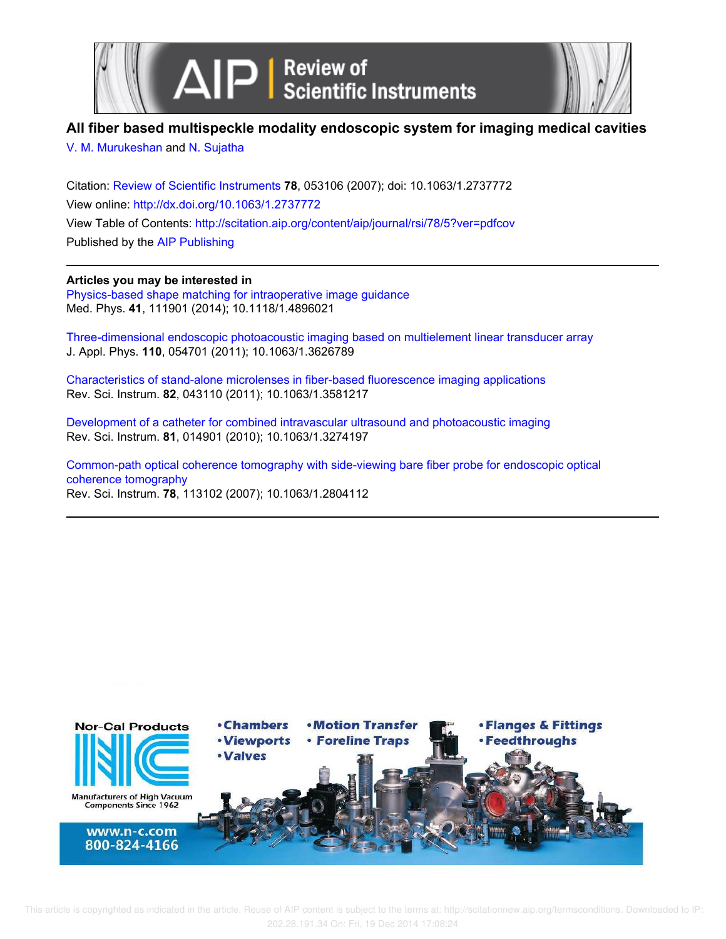



## **All fiber based multispeckle modality endoscopic system for imaging medical cavities**

V. M. Murukeshan and N. Sujatha

Citation: Review of Scientific Instruments **78**, 053106 (2007); doi: 10.1063/1.2737772 View online: http://dx.doi.org/10.1063/1.2737772 View Table of Contents: http://scitation.aip.org/content/aip/journal/rsi/78/5?ver=pdfcov Published by the AIP Publishing

## **Articles you may be interested in**

Physics-based shape matching for intraoperative image guidance Med. Phys. **41**, 111901 (2014); 10.1118/1.4896021

Three-dimensional endoscopic photoacoustic imaging based on multielement linear transducer array J. Appl. Phys. **110**, 054701 (2011); 10.1063/1.3626789

Characteristics of stand-alone microlenses in fiber-based fluorescence imaging applications Rev. Sci. Instrum. **82**, 043110 (2011); 10.1063/1.3581217

Development of a catheter for combined intravascular ultrasound and photoacoustic imaging Rev. Sci. Instrum. **81**, 014901 (2010); 10.1063/1.3274197

Common-path optical coherence tomography with side-viewing bare fiber probe for endoscopic optical coherence tomography Rev. Sci. Instrum. **78**, 113102 (2007); 10.1063/1.2804112

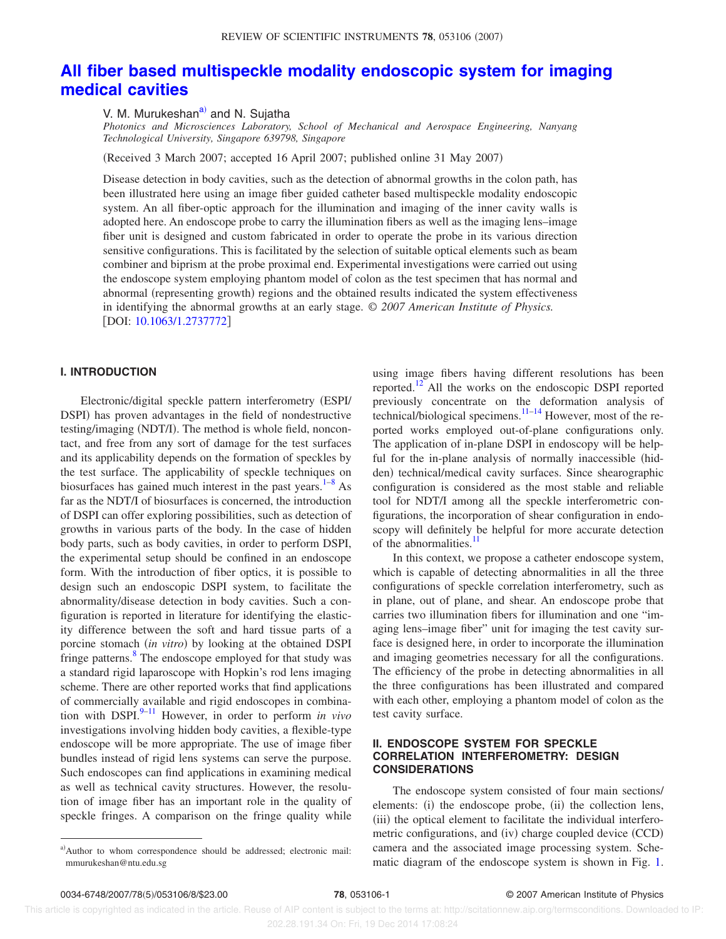# **All fiber based multispeckle modality endoscopic system for imaging medical cavities**

V. M. Murukeshan<sup>a)</sup> and N. Sujatha

*Photonics and Microsciences Laboratory, School of Mechanical and Aerospace Engineering, Nanyang Technological University, Singapore 639798, Singapore*

Received 3 March 2007; accepted 16 April 2007; published online 31 May 2007-

Disease detection in body cavities, such as the detection of abnormal growths in the colon path, has been illustrated here using an image fiber guided catheter based multispeckle modality endoscopic system. An all fiber-optic approach for the illumination and imaging of the inner cavity walls is adopted here. An endoscope probe to carry the illumination fibers as well as the imaging lens–image fiber unit is designed and custom fabricated in order to operate the probe in its various direction sensitive configurations. This is facilitated by the selection of suitable optical elements such as beam combiner and biprism at the probe proximal end. Experimental investigations were carried out using the endoscope system employing phantom model of colon as the test specimen that has normal and abnormal (representing growth) regions and the obtained results indicated the system effectiveness in identifying the abnormal growths at an early stage. *© 2007 American Institute of Physics.* [DOI: 10.1063/1.2737772]

### **I. INTRODUCTION**

Electronic/digital speckle pattern interferometry ESPI/ DSPI) has proven advantages in the field of nondestructive testing/imaging (NDT/I). The method is whole field, noncontact, and free from any sort of damage for the test surfaces and its applicability depends on the formation of speckles by the test surface. The applicability of speckle techniques on biosurfaces has gained much interest in the past years.<sup>1–8</sup> As far as the NDT/I of biosurfaces is concerned, the introduction of DSPI can offer exploring possibilities, such as detection of growths in various parts of the body. In the case of hidden body parts, such as body cavities, in order to perform DSPI, the experimental setup should be confined in an endoscope form. With the introduction of fiber optics, it is possible to design such an endoscopic DSPI system, to facilitate the abnormality/disease detection in body cavities. Such a configuration is reported in literature for identifying the elasticity difference between the soft and hard tissue parts of a porcine stomach *(in vitro)* by looking at the obtained DSPI fringe patterns.<sup>8</sup> The endoscope employed for that study was a standard rigid laparoscope with Hopkin's rod lens imaging scheme. There are other reported works that find applications of commercially available and rigid endoscopes in combination with DSPI. $9-11$  However, in order to perform *in vivo* investigations involving hidden body cavities, a flexible-type endoscope will be more appropriate. The use of image fiber bundles instead of rigid lens systems can serve the purpose. Such endoscopes can find applications in examining medical as well as technical cavity structures. However, the resolution of image fiber has an important role in the quality of speckle fringes. A comparison on the fringe quality while using image fibers having different resolutions has been reported.<sup>12</sup> All the works on the endoscopic DSPI reported previously concentrate on the deformation analysis of technical/biological specimens. $\frac{11-14}{11-14}$  However, most of the reported works employed out-of-plane configurations only. The application of in-plane DSPI in endoscopy will be helpful for the in-plane analysis of normally inaccessible (hidden) technical/medical cavity surfaces. Since shearographic configuration is considered as the most stable and reliable tool for NDT/I among all the speckle interferometric configurations, the incorporation of shear configuration in endoscopy will definitely be helpful for more accurate detection of the abnormalities.<sup>11</sup>

In this context, we propose a catheter endoscope system, which is capable of detecting abnormalities in all the three configurations of speckle correlation interferometry, such as in plane, out of plane, and shear. An endoscope probe that carries two illumination fibers for illumination and one "imaging lens–image fiber" unit for imaging the test cavity surface is designed here, in order to incorporate the illumination and imaging geometries necessary for all the configurations. The efficiency of the probe in detecting abnormalities in all the three configurations has been illustrated and compared with each other, employing a phantom model of colon as the test cavity surface.

## **II. ENDOSCOPE SYSTEM FOR SPECKLE CORRELATION INTERFEROMETRY: DESIGN CONSIDERATIONS**

The endoscope system consisted of four main sections/ elements: (i) the endoscope probe, (ii) the collection lens, (iii) the optical element to facilitate the individual interferometric configurations, and (iv) charge coupled device (CCD) camera and the associated image processing system. Schematic diagram of the endoscope system is shown in Fig. 1.

a)Author to whom correspondence should be addressed; electronic mail: mmurukeshan@ntu.edu.sg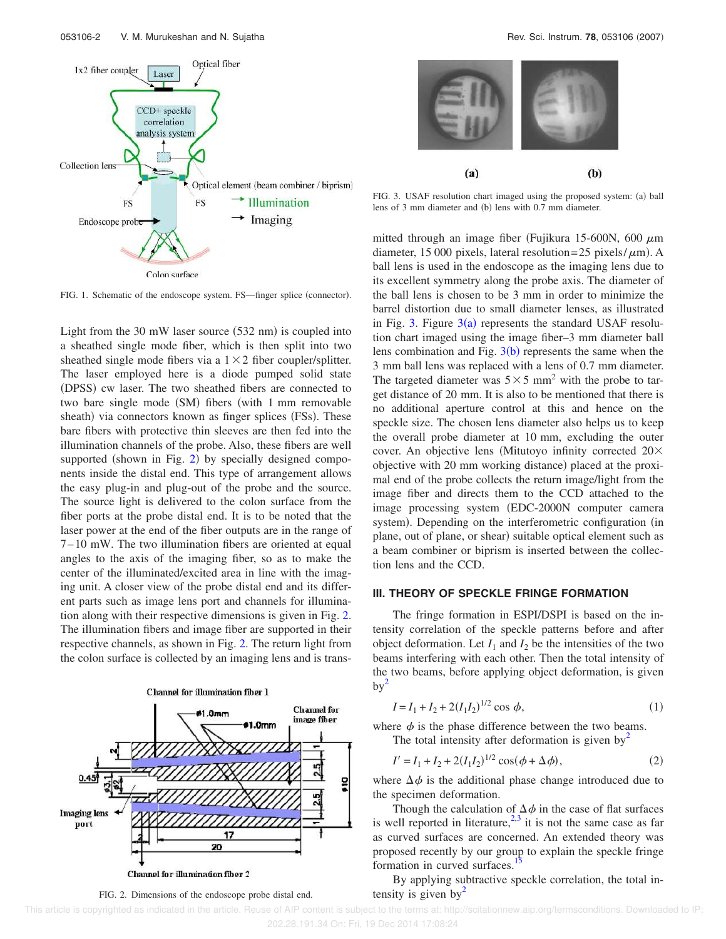![](_page_2_Figure_1.jpeg)

![](_page_2_Figure_3.jpeg)

FIG. 3. USAF resolution chart imaged using the proposed system: (a) ball lens of 3 mm diameter and (b) lens with 0.7 mm diameter.

FIG. 1. Schematic of the endoscope system. FS—finger splice (connector).

Light from the  $30 \text{ mW}$  laser source  $(532 \text{ nm})$  is coupled into a sheathed single mode fiber, which is then split into two sheathed single mode fibers via a  $1 \times 2$  fiber coupler/splitter. The laser employed here is a diode pumped solid state (DPSS) cw laser. The two sheathed fibers are connected to two bare single mode (SM) fibers (with 1 mm removable sheath) via connectors known as finger splices (FSs). These bare fibers with protective thin sleeves are then fed into the illumination channels of the probe. Also, these fibers are well supported (shown in Fig. 2) by specially designed components inside the distal end. This type of arrangement allows the easy plug-in and plug-out of the probe and the source. The source light is delivered to the colon surface from the fiber ports at the probe distal end. It is to be noted that the laser power at the end of the fiber outputs are in the range of 7–10 mW. The two illumination fibers are oriented at equal angles to the axis of the imaging fiber, so as to make the center of the illuminated/excited area in line with the imaging unit. A closer view of the probe distal end and its different parts such as image lens port and channels for illumination along with their respective dimensions is given in Fig. 2. The illumination fibers and image fiber are supported in their respective channels, as shown in Fig. 2. The return light from the colon surface is collected by an imaging lens and is trans-

![](_page_2_Figure_7.jpeg)

FIG. 2. Dimensions of the endoscope probe distal end.

mitted through an image fiber (Fujikura 15-600N, 600  $\mu$ m diameter, 15 000 pixels, lateral resolution=25 pixels/ $\mu$ m). A ball lens is used in the endoscope as the imaging lens due to its excellent symmetry along the probe axis. The diameter of the ball lens is chosen to be 3 mm in order to minimize the barrel distortion due to small diameter lenses, as illustrated in Fig. 3. Figure  $3(a)$  represents the standard USAF resolution chart imaged using the image fiber–3 mm diameter ball lens combination and Fig.  $3(b)$  represents the same when the 3 mm ball lens was replaced with a lens of 0.7 mm diameter. The targeted diameter was  $5 \times 5$  mm<sup>2</sup> with the probe to target distance of 20 mm. It is also to be mentioned that there is no additional aperture control at this and hence on the speckle size. The chosen lens diameter also helps us to keep the overall probe diameter at 10 mm, excluding the outer cover. An objective lens (Mitutoyo infinity corrected  $20\times$ objective with 20 mm working distance) placed at the proximal end of the probe collects the return image/light from the image fiber and directs them to the CCD attached to the image processing system (EDC-2000N computer camera system). Depending on the interferometric configuration (in plane, out of plane, or shear) suitable optical element such as a beam combiner or biprism is inserted between the collection lens and the CCD.

## **III. THEORY OF SPECKLE FRINGE FORMATION**

The fringe formation in ESPI/DSPI is based on the intensity correlation of the speckle patterns before and after object deformation. Let  $I_1$  and  $I_2$  be the intensities of the two beams interfering with each other. Then the total intensity of the two beams, before applying object deformation, is given  $by<sup>2</sup>$ 

$$
I = I_1 + I_2 + 2(I_1 I_2)^{1/2} \cos \phi,
$$
 (1)

where  $\phi$  is the phase difference between the two beams. The total intensity after deformation is given by  $\frac{1}{2}$ 

$$
I' = I_1 + I_2 + 2(I_1 I_2)^{1/2} \cos(\phi + \Delta \phi),
$$
 (2)

where  $\Delta \phi$  is the additional phase change introduced due to the specimen deformation.

Though the calculation of  $\Delta \phi$  in the case of flat surfaces is well reported in literature,  $2.3$  it is not the same case as far as curved surfaces are concerned. An extended theory was proposed recently by our group to explain the speckle fringe formation in curved surfaces.

By applying subtractive speckle correlation, the total intensity is given by  $\sim$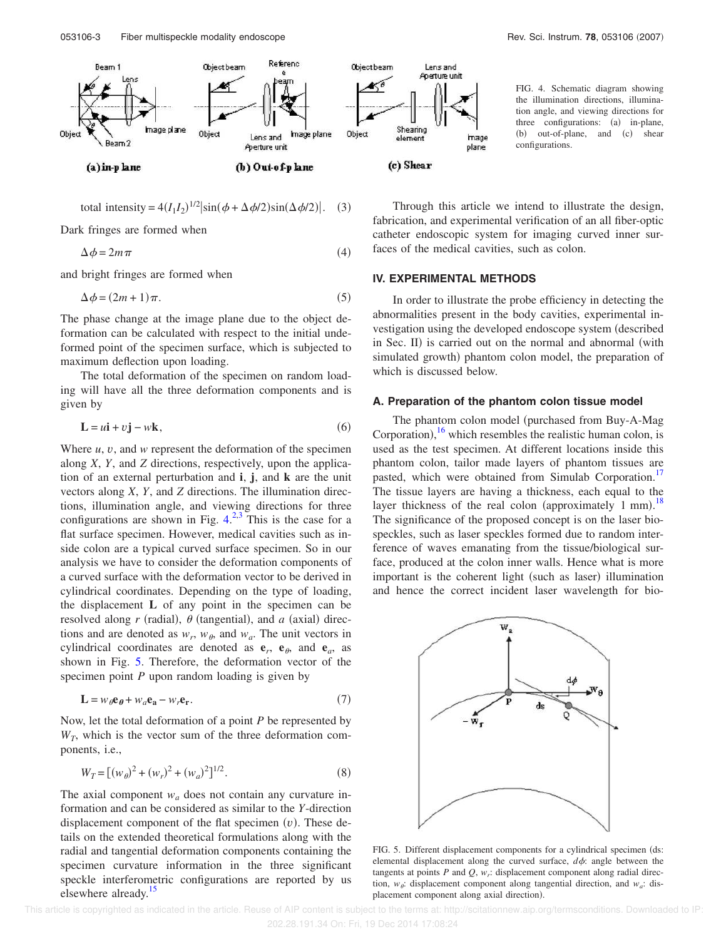![](_page_3_Figure_1.jpeg)

total intensity = 
$$
4(I_1I_2)^{1/2} |\sin(\phi + \Delta \phi/2) \sin(\Delta \phi/2)|
$$
. (3)

Dark fringes are formed when

$$
\Delta \phi = 2m\pi \tag{4}
$$

and bright fringes are formed when

$$
\Delta \phi = (2m + 1)\pi. \tag{5}
$$

The phase change at the image plane due to the object deformation can be calculated with respect to the initial undeformed point of the specimen surface, which is subjected to maximum deflection upon loading.

The total deformation of the specimen on random loading will have all the three deformation components and is given by

$$
\mathbf{L} = u\mathbf{i} + v\mathbf{j} - w\mathbf{k},\tag{6}
$$

Where  $u, v$ , and  $w$  represent the deformation of the specimen along *X*, *Y*, and *Z* directions, respectively, upon the application of an external perturbation and **i**, **j**, and **k** are the unit vectors along *X*, *Y*, and *Z* directions. The illumination directions, illumination angle, and viewing directions for three configurations are shown in Fig.  $4^{2,3}$ . This is the case for a flat surface specimen. However, medical cavities such as inside colon are a typical curved surface specimen. So in our analysis we have to consider the deformation components of a curved surface with the deformation vector to be derived in cylindrical coordinates. Depending on the type of loading, the displacement **L** of any point in the specimen can be resolved along  $r$  (radial),  $\theta$  (tangential), and  $a$  (axial) directions and are denoted as  $w_r$ ,  $w_\theta$ , and  $w_a$ . The unit vectors in cylindrical coordinates are denoted as  $e_r$ ,  $e_{\theta}$ , and  $e_a$ , as shown in Fig. 5. Therefore, the deformation vector of the specimen point *P* upon random loading is given by

$$
\mathbf{L} = w_{\theta} \mathbf{e}_{\theta} + w_{a} \mathbf{e}_{\mathbf{a}} - w_{r} \mathbf{e}_{\mathbf{r}}.
$$
 (7)

Now, let the total deformation of a point *P* be represented by  $W_T$ , which is the vector sum of the three deformation components, i.e.,

$$
W_T = [(w_\theta)^2 + (w_r)^2 + (w_a)^2]^{1/2}.
$$
 (8)

The axial component  $w_a$  does not contain any curvature information and can be considered as similar to the *Y*-direction displacement component of the flat specimen  $(v)$ . These details on the extended theoretical formulations along with the radial and tangential deformation components containing the specimen curvature information in the three significant speckle interferometric configurations are reported by us elsewhere already.<sup>15</sup>

FIG. 4. Schematic diagram showing the illumination directions, illumination angle, and viewing directions for three configurations: (a) in-plane,  $(b)$ out-of-plane, and (c) shear configurations.

Through this article we intend to illustrate the design, fabrication, and experimental verification of an all fiber-optic catheter endoscopic system for imaging curved inner surfaces of the medical cavities, such as colon.

#### **IV. EXPERIMENTAL METHODS**

In order to illustrate the probe efficiency in detecting the abnormalities present in the body cavities, experimental investigation using the developed endoscope system (described in Sec. II) is carried out on the normal and abnormal (with simulated growth) phantom colon model, the preparation of which is discussed below.

## **A. Preparation of the phantom colon tissue model**

The phantom colon model (purchased from Buy-A-Mag Corporation),  $^{16}$  which resembles the realistic human colon, is used as the test specimen. At different locations inside this phantom colon, tailor made layers of phantom tissues are pasted, which were obtained from Simulab Corporation.<sup>17</sup> The tissue layers are having a thickness, each equal to the layer thickness of the real colon (approximately  $1 \text{ mm}$ ).<sup>18</sup> The significance of the proposed concept is on the laser biospeckles, such as laser speckles formed due to random interference of waves emanating from the tissue/biological surface, produced at the colon inner walls. Hence what is more important is the coherent light (such as laser) illumination and hence the correct incident laser wavelength for bio-

![](_page_3_Figure_22.jpeg)

FIG. 5. Different displacement components for a cylindrical specimen (ds: elemental displacement along the curved surface,  $d\phi$ : angle between the tangents at points  $P$  and  $Q$ ,  $w_r$ : displacement component along radial direction,  $w_{\theta}$ : displacement component along tangential direction, and  $w_a$ : displacement component along axial direction).

This article is copyrighted as indicated in the article. Reuse of AIP content is subject to the terms at: http://scitationnew.aip.org/termsconditions. Downloaded to IP: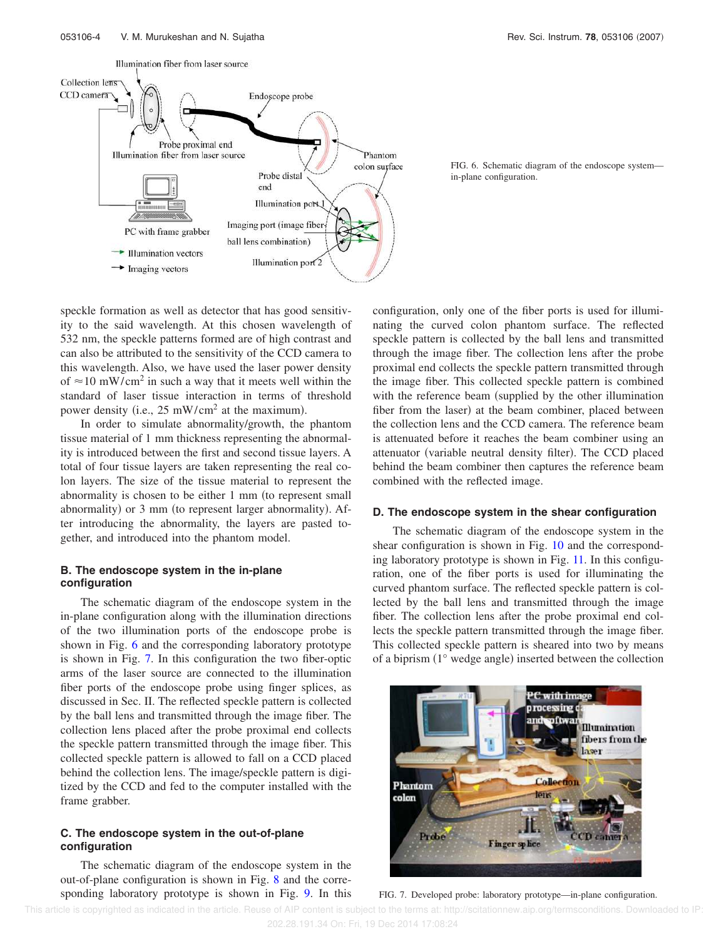![](_page_4_Figure_2.jpeg)

![](_page_4_Figure_3.jpeg)

speckle formation as well as detector that has good sensitivity to the said wavelength. At this chosen wavelength of 532 nm, the speckle patterns formed are of high contrast and can also be attributed to the sensitivity of the CCD camera to this wavelength. Also, we have used the laser power density of  $\approx$ 10 mW/cm<sup>2</sup> in such a way that it meets well within the standard of laser tissue interaction in terms of threshold power density (i.e.,  $25 \text{ mW/cm}^2$  at the maximum).

In order to simulate abnormality/growth, the phantom tissue material of 1 mm thickness representing the abnormality is introduced between the first and second tissue layers. A total of four tissue layers are taken representing the real colon layers. The size of the tissue material to represent the abnormality is chosen to be either 1 mm (to represent small abnormality) or 3 mm (to represent larger abnormality). After introducing the abnormality, the layers are pasted together, and introduced into the phantom model.

#### **B. The endoscope system in the in-plane configuration**

The schematic diagram of the endoscope system in the in-plane configuration along with the illumination directions of the two illumination ports of the endoscope probe is shown in Fig. 6 and the corresponding laboratory prototype is shown in Fig. 7. In this configuration the two fiber-optic arms of the laser source are connected to the illumination fiber ports of the endoscope probe using finger splices, as discussed in Sec. II. The reflected speckle pattern is collected by the ball lens and transmitted through the image fiber. The collection lens placed after the probe proximal end collects the speckle pattern transmitted through the image fiber. This collected speckle pattern is allowed to fall on a CCD placed behind the collection lens. The image/speckle pattern is digitized by the CCD and fed to the computer installed with the frame grabber.

## **C. The endoscope system in the out-of-plane configuration**

The schematic diagram of the endoscope system in the out-of-plane configuration is shown in Fig. 8 and the corresponding laboratory prototype is shown in Fig. 9. In this configuration, only one of the fiber ports is used for illuminating the curved colon phantom surface. The reflected speckle pattern is collected by the ball lens and transmitted through the image fiber. The collection lens after the probe proximal end collects the speckle pattern transmitted through the image fiber. This collected speckle pattern is combined with the reference beam (supplied by the other illumination fiber from the laser) at the beam combiner, placed between the collection lens and the CCD camera. The reference beam is attenuated before it reaches the beam combiner using an attenuator (variable neutral density filter). The CCD placed behind the beam combiner then captures the reference beam combined with the reflected image.

#### **D. The endoscope system in the shear configuration**

The schematic diagram of the endoscope system in the shear configuration is shown in Fig. 10 and the corresponding laboratory prototype is shown in Fig. 11. In this configuration, one of the fiber ports is used for illuminating the curved phantom surface. The reflected speckle pattern is collected by the ball lens and transmitted through the image fiber. The collection lens after the probe proximal end collects the speckle pattern transmitted through the image fiber. This collected speckle pattern is sheared into two by means of a biprism (1° wedge angle) inserted between the collection

![](_page_4_Picture_13.jpeg)

FIG. 7. Developed probe: laboratory prototype—in-plane configuration.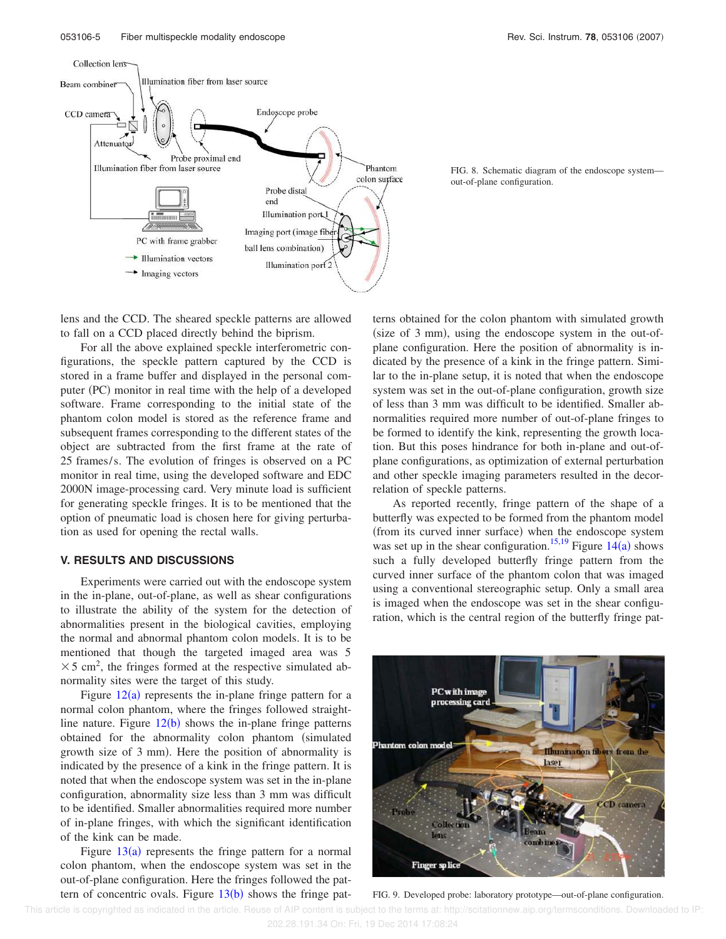![](_page_5_Figure_2.jpeg)

![](_page_5_Figure_3.jpeg)

lens and the CCD. The sheared speckle patterns are allowed to fall on a CCD placed directly behind the biprism.

For all the above explained speckle interferometric configurations, the speckle pattern captured by the CCD is stored in a frame buffer and displayed in the personal computer (PC) monitor in real time with the help of a developed software. Frame corresponding to the initial state of the phantom colon model is stored as the reference frame and subsequent frames corresponding to the different states of the object are subtracted from the first frame at the rate of 25 frames/s. The evolution of fringes is observed on a PC monitor in real time, using the developed software and EDC 2000N image-processing card. Very minute load is sufficient for generating speckle fringes. It is to be mentioned that the option of pneumatic load is chosen here for giving perturbation as used for opening the rectal walls.

#### **V. RESULTS AND DISCUSSIONS**

Experiments were carried out with the endoscope system in the in-plane, out-of-plane, as well as shear configurations to illustrate the ability of the system for the detection of abnormalities present in the biological cavities, employing the normal and abnormal phantom colon models. It is to be mentioned that though the targeted imaged area was 5  $\times$  5 cm<sup>2</sup>, the fringes formed at the respective simulated abnormality sites were the target of this study.

Figure  $12(a)$  represents the in-plane fringe pattern for a normal colon phantom, where the fringes followed straightline nature. Figure  $12(b)$  shows the in-plane fringe patterns obtained for the abnormality colon phantom (simulated growth size of 3 mm). Here the position of abnormality is indicated by the presence of a kink in the fringe pattern. It is noted that when the endoscope system was set in the in-plane configuration, abnormality size less than 3 mm was difficult to be identified. Smaller abnormalities required more number of in-plane fringes, with which the significant identification of the kink can be made.

Figure  $13(a)$  represents the fringe pattern for a normal colon phantom, when the endoscope system was set in the out-of-plane configuration. Here the fringes followed the pattern of concentric ovals. Figure  $13(b)$  shows the fringe patterns obtained for the colon phantom with simulated growth  $(size of 3 mm)$ , using the endoscope system in the out-ofplane configuration. Here the position of abnormality is indicated by the presence of a kink in the fringe pattern. Similar to the in-plane setup, it is noted that when the endoscope system was set in the out-of-plane configuration, growth size of less than 3 mm was difficult to be identified. Smaller abnormalities required more number of out-of-plane fringes to be formed to identify the kink, representing the growth location. But this poses hindrance for both in-plane and out-ofplane configurations, as optimization of external perturbation and other speckle imaging parameters resulted in the decorrelation of speckle patterns.

As reported recently, fringe pattern of the shape of a butterfly was expected to be formed from the phantom model (from its curved inner surface) when the endoscope system was set up in the shear configuration.<sup>15,19</sup> Figure  $14(a)$  shows such a fully developed butterfly fringe pattern from the curved inner surface of the phantom colon that was imaged using a conventional stereographic setup. Only a small area is imaged when the endoscope was set in the shear configuration, which is the central region of the butterfly fringe pat-

![](_page_5_Picture_12.jpeg)

FIG. 9. Developed probe: laboratory prototype—out-of-plane configuration.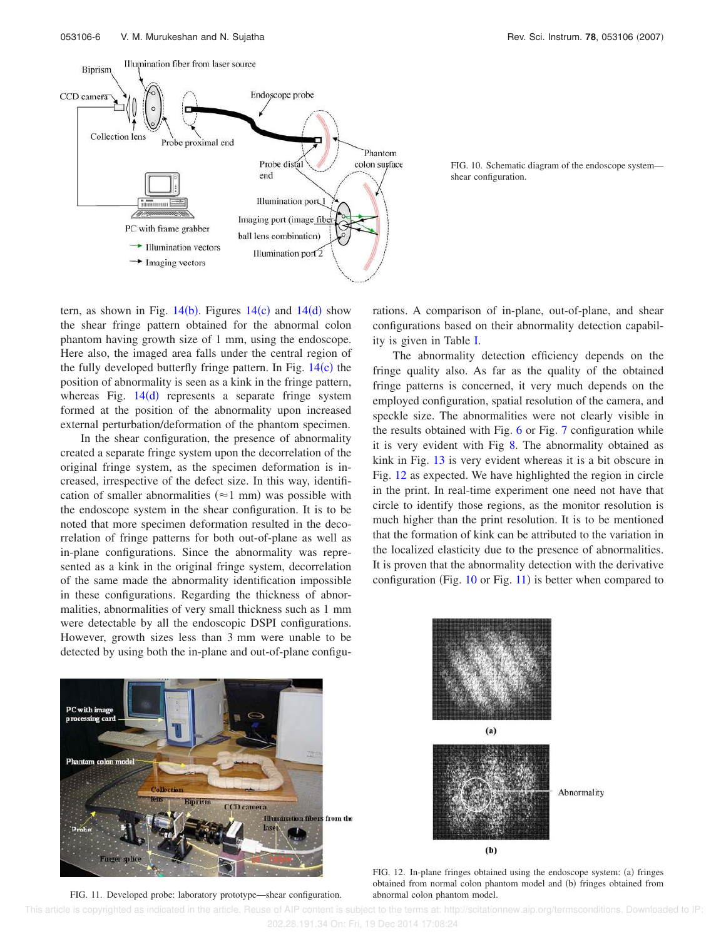![](_page_6_Figure_1.jpeg)

![](_page_6_Figure_3.jpeg)

tern, as shown in Fig.  $14(b)$ . Figures  $14(c)$  and  $14(d)$  show the shear fringe pattern obtained for the abnormal colon phantom having growth size of 1 mm, using the endoscope. Here also, the imaged area falls under the central region of the fully developed butterfly fringe pattern. In Fig.  $14(c)$  the position of abnormality is seen as a kink in the fringe pattern, whereas Fig.  $14(d)$  represents a separate fringe system formed at the position of the abnormality upon increased external perturbation/deformation of the phantom specimen.

In the shear configuration, the presence of abnormality created a separate fringe system upon the decorrelation of the original fringe system, as the specimen deformation is increased, irrespective of the defect size. In this way, identification of smaller abnormalities ( $\approx$ 1 mm) was possible with the endoscope system in the shear configuration. It is to be noted that more specimen deformation resulted in the decorrelation of fringe patterns for both out-of-plane as well as in-plane configurations. Since the abnormality was represented as a kink in the original fringe system, decorrelation of the same made the abnormality identification impossible in these configurations. Regarding the thickness of abnormalities, abnormalities of very small thickness such as 1 mm were detectable by all the endoscopic DSPI configurations. However, growth sizes less than 3 mm were unable to be detected by using both the in-plane and out-of-plane configurations. A comparison of in-plane, out-of-plane, and shear configurations based on their abnormality detection capability is given in Table I.

The abnormality detection efficiency depends on the fringe quality also. As far as the quality of the obtained fringe patterns is concerned, it very much depends on the employed configuration, spatial resolution of the camera, and speckle size. The abnormalities were not clearly visible in the results obtained with Fig. 6 or Fig. 7 configuration while it is very evident with Fig 8. The abnormality obtained as kink in Fig. 13 is very evident whereas it is a bit obscure in Fig. 12 as expected. We have highlighted the region in circle in the print. In real-time experiment one need not have that circle to identify those regions, as the monitor resolution is much higher than the print resolution. It is to be mentioned that the formation of kink can be attributed to the variation in the localized elasticity due to the presence of abnormalities. It is proven that the abnormality detection with the derivative configuration (Fig.  $10$  or Fig.  $11$ ) is better when compared to

![](_page_6_Picture_8.jpeg)

FIG. 11. Developed probe: laboratory prototype—shear configuration.

![](_page_6_Figure_10.jpeg)

FIG. 12. In-plane fringes obtained using the endoscope system: (a) fringes obtained from normal colon phantom model and (b) fringes obtained from abnormal colon phantom model.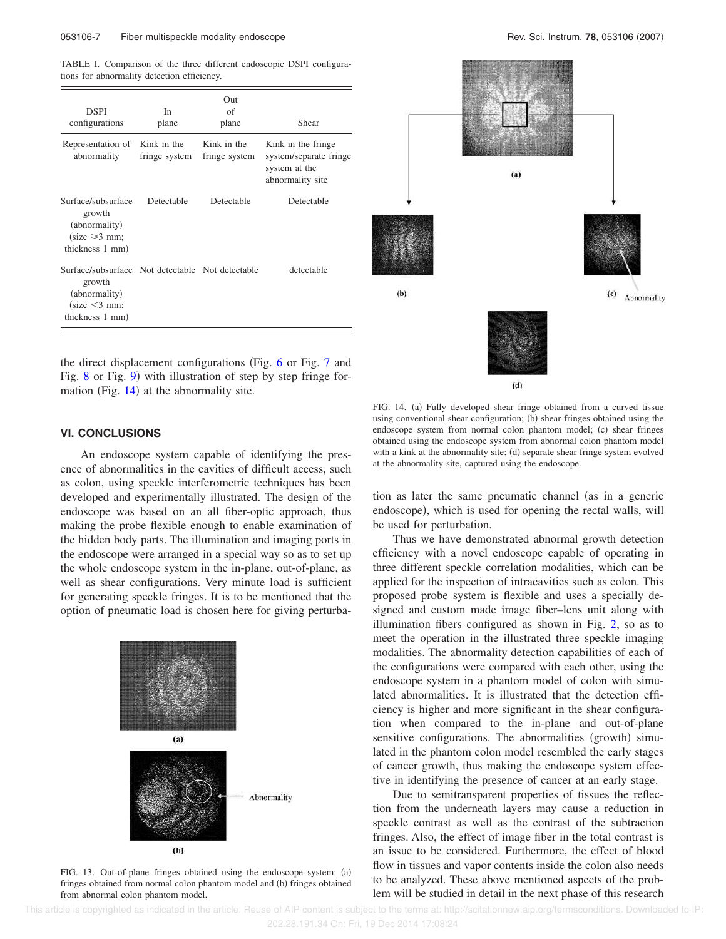TABLE I. Comparison of the three different endoscopic DSPI configurations for abnormality detection efficiency.

| <b>DSPI</b><br>configurations                                                                                                    | In.<br>plane                 | Out<br>of<br>plane           | Shear                                                                              |
|----------------------------------------------------------------------------------------------------------------------------------|------------------------------|------------------------------|------------------------------------------------------------------------------------|
| Representation of<br>abnormality                                                                                                 | Kink in the<br>fringe system | Kink in the<br>fringe system | Kink in the fringe.<br>system/separate fringe<br>system at the<br>abnormality site |
| Surface/subsurface<br>growth<br>(abnormality)<br>$\text{(size} \geq 3 \text{ mm};$<br>thickness 1 mm)                            | Detectable                   | Detectable                   | Detectable                                                                         |
| Surface/subsurface Not detectable Not detectable<br>growth<br>(abnormality)<br>$\text{(size} < 3 \text{ mm};$<br>thickness 1 mm) |                              |                              | detectable                                                                         |

the direct displacement configurations (Fig.  $6$  or Fig. 7 and Fig. 8 or Fig. 9) with illustration of step by step fringe formation (Fig.  $14$ ) at the abnormality site.

#### **VI. CONCLUSIONS**

An endoscope system capable of identifying the presence of abnormalities in the cavities of difficult access, such as colon, using speckle interferometric techniques has been developed and experimentally illustrated. The design of the endoscope was based on an all fiber-optic approach, thus making the probe flexible enough to enable examination of the hidden body parts. The illumination and imaging ports in the endoscope were arranged in a special way so as to set up the whole endoscope system in the in-plane, out-of-plane, as well as shear configurations. Very minute load is sufficient for generating speckle fringes. It is to be mentioned that the option of pneumatic load is chosen here for giving perturba-

![](_page_7_Figure_6.jpeg)

FIG. 13. Out-of-plane fringes obtained using the endoscope system: (a) fringes obtained from normal colon phantom model and (b) fringes obtained from abnormal colon phantom model.

![](_page_7_Figure_9.jpeg)

FIG. 14. (a) Fully developed shear fringe obtained from a curved tissue using conventional shear configuration; (b) shear fringes obtained using the endoscope system from normal colon phantom model; (c) shear fringes obtained using the endoscope system from abnormal colon phantom model with a kink at the abnormality site; (d) separate shear fringe system evolved at the abnormality site, captured using the endoscope.

tion as later the same pneumatic channel (as in a generic endoscope), which is used for opening the rectal walls, will be used for perturbation.

Thus we have demonstrated abnormal growth detection efficiency with a novel endoscope capable of operating in three different speckle correlation modalities, which can be applied for the inspection of intracavities such as colon. This proposed probe system is flexible and uses a specially designed and custom made image fiber–lens unit along with illumination fibers configured as shown in Fig. 2, so as to meet the operation in the illustrated three speckle imaging modalities. The abnormality detection capabilities of each of the configurations were compared with each other, using the endoscope system in a phantom model of colon with simulated abnormalities. It is illustrated that the detection efficiency is higher and more significant in the shear configuration when compared to the in-plane and out-of-plane sensitive configurations. The abnormalities (growth) simulated in the phantom colon model resembled the early stages of cancer growth, thus making the endoscope system effective in identifying the presence of cancer at an early stage.

Due to semitransparent properties of tissues the reflection from the underneath layers may cause a reduction in speckle contrast as well as the contrast of the subtraction fringes. Also, the effect of image fiber in the total contrast is an issue to be considered. Furthermore, the effect of blood flow in tissues and vapor contents inside the colon also needs to be analyzed. These above mentioned aspects of the problem will be studied in detail in the next phase of this research